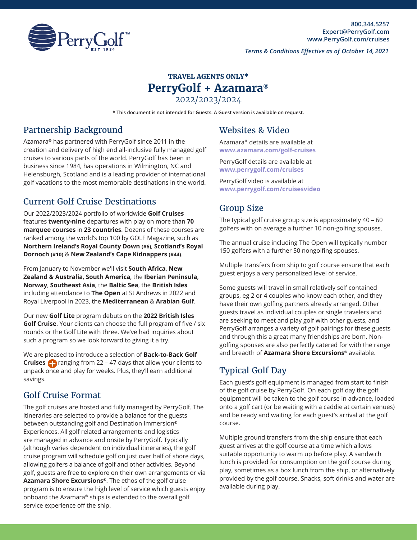

*Terms & Conditions Effective as of October 14, 2021*

# **TRAVEL AGENTS ONLY\* PerryGolf + Azamara®**

2022/2023/2024

**\* This document is not intended for Guests. A Guest version is available on request.**

#### Partnership Background

Azamara**®** has partnered with PerryGolf since 2011 in the creation and delivery of high end all-inclusive fully managed golf cruises to various parts of the world. PerryGolf has been in business since 1984, has operations in Wilmington, NC and Helensburgh, Scotland and is a leading provider of international golf vacations to the most memorable destinations in the world.

### Current Golf Cruise Destinations

Our 2022/2023/2024 portfolio of worldwide **Golf Cruises** features **twenty-nine** departures with play on more than **70 marquee courses** in **23 countries**. Dozens of these courses are ranked among the world's top 100 by GOLF Magazine, such as **Northern Ireland's Royal County Down (#6)**, **Scotland's Royal Dornoch (#10)** & **New Zealand's Cape Kidnappers (#44)**.

From January to November we'll visit **South Africa**, **New Zealand & Australia**, **South America**, the **Iberian Peninsula**, **Norway**, **Southeast Asia**, the **Baltic Sea**, the **British Isles** including attendance to **The Open** at St Andrews in 2022 and Royal Liverpool in 2023, the **Mediterranean** & **Arabian Gulf**.

Our new **Golf Lite** program debuts on the **2022 British Isles Golf Cruise**. Your clients can choose the full program of five / six rounds or the Golf Lite with three. We've had inquiries about such a program so we look forward to giving it a try.

We are pleased to introduce a selection of **Back-to-Back Golf Cruises c** ranging from 22 – 47 days that allow your clients to unpack once and play for weeks. Plus, they'll earn additional savings.

#### Golf Cruise Format

The golf cruises are hosted and fully managed by PerryGolf. The itineraries are selected to provide a balance for the guests between outstanding golf and Destination Immersion**®** Experiences. All golf related arrangements and logistics are managed in advance and onsite by PerryGolf. Typically (although varies dependent on individual itineraries), the golf cruise program will schedule golf on just over half of shore days, allowing golfers a balance of golf and other activities. Beyond golf, guests are free to explore on their own arrangements or via **Azamara Shore Excursions®**. The ethos of the golf cruise program is to ensure the high level of service which guests enjoy onboard the Azamara**®** ships is extended to the overall golf service experience off the ship.

#### Websites & Video

Azamara**®** details are available at **[www.azamara.com/golf-cruises](https://www.azamara.com/golf-cruises)**

PerryGolf details are available at **[www.perrygolf.com/cruises](https://www.perrygolf.com/golfcruising/)**

PerryGolf video is available at **[www.perrygolf.com/cruisesvide](https://vimeo.com/589350855)o**

### Group Size

The typical golf cruise group size is approximately 40 – 60 golfers with on average a further 10 non-golfing spouses.

The annual cruise including The Open will typically number 150 golfers with a further 50 nongolfing spouses.

Multiple transfers from ship to golf course ensure that each guest enjoys a very personalized level of service.

Some guests will travel in small relatively self contained groups, eg 2 or 4 couples who know each other, and they have their own golfing partners already arranged. Other guests travel as individual couples or single travelers and are seeking to meet and play golf with other guests, and PerryGolf arranges a variety of golf pairings for these guests and through this a great many friendships are born. Nongolfing spouses are also perfectly catered for with the range and breadth of **Azamara Shore Excursions®** available.

### Typical Golf Day

Each guest's golf equipment is managed from start to finish of the golf cruise by PerryGolf. On each golf day the golf equipment will be taken to the golf course in advance, loaded onto a golf cart (or be waiting with a caddie at certain venues) and be ready and waiting for each guest's arrival at the golf course.

Multiple ground transfers from the ship ensure that each guest arrives at the golf course at a time which allows suitable opportunity to warm up before play. A sandwich lunch is provided for consumption on the golf course during play, sometimes as a box lunch from the ship, or alternatively provided by the golf course. Snacks, soft drinks and water are available during play.